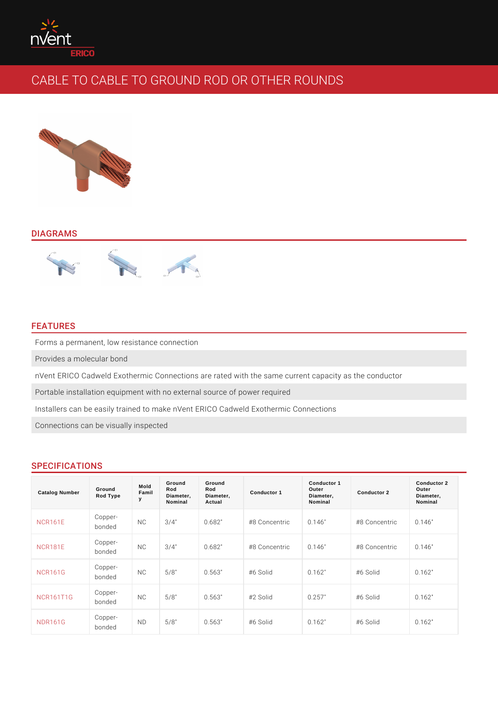## DIAGRAMS

# FEATURES

Forms a permanent, low resistance connection

Provides a molecular bond

nVent ERICO Cadweld Exothermic Connections are rated with the same current o Portable installation equipment with no external source of power required Installers can be easily trained to make nVent ERICO Cadweld Exothermic Conn Connections can be visually inspected

## SPECIFICATIONS

| Catalog Number   | Ground<br>Rod Type      | Mold<br>Famil<br>у | Ground<br>Rod<br>Diameter,<br>Nominal | Ground<br>Rod<br>Diameter,<br>Actual | Conductor 1            | Conductor 1<br>Outer<br>Diameter,<br>Nominal | Conductor 2            | Conductor 2<br>Outer<br>Diameter,<br>Nominal |
|------------------|-------------------------|--------------------|---------------------------------------|--------------------------------------|------------------------|----------------------------------------------|------------------------|----------------------------------------------|
| <b>NCR161E</b>   | Copper-<br>bonded       | N <sub>C</sub>     | $3/4$ "                               | 0.682"                               | #8 Concentricc. 146"   |                                              | $#8$ Concentricc. 146" |                                              |
| <b>NCR181E</b>   | Copper-<br>bonded       | N <sub>C</sub>     | $3/4$ "                               | 0.682"                               | $#8$ Concentricc. 146" |                                              | $#8$ Concentricc. 146" |                                              |
| <b>NCR161G</b>   | Copper-<br>bonded       | N <sub>C</sub>     | 5/8"                                  | 0.563"                               | #6 Solid               | 0.162"                                       | #6 Solid               | 0.162"                                       |
| <b>NCR161T1G</b> | Copper-<br>bonded       | N <sub>C</sub>     | 5/8"                                  | 0.563"                               | #2 Solid               | 0.257"                                       | #6 Solid               | 0.162"                                       |
| <b>NDR161G</b>   | $C$ opper $-$<br>bonded | N <sub>D</sub>     | 5/8"                                  | 0.563"                               | #6 Solid               | 0.162"                                       | #6 Solid               | 0.162"                                       |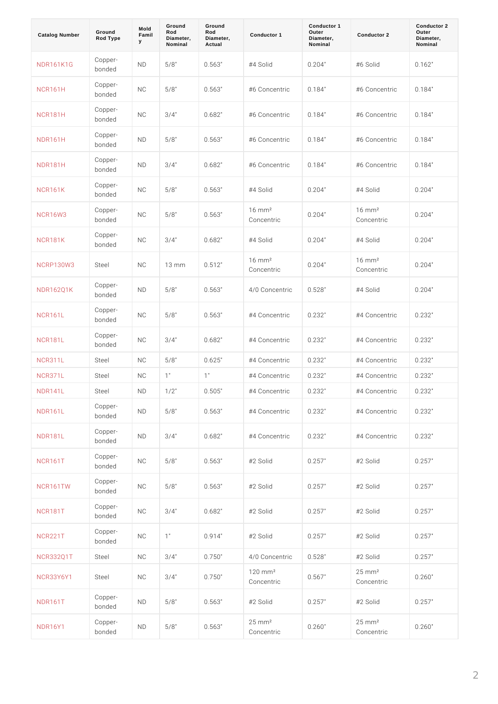| Catalog Number   | Ground<br>Rod Type    | Mold<br>Famil<br>у | Ground<br>Rod<br>Diameter,<br>Nominal | Ground<br>Rod<br>Diameter,<br>Actual | Conductor 1                          | Conductor 1<br>Outer<br>Diameter,<br>Nominal | Conductor 2                         | Conductor 2<br>Outer<br>Diameter,<br>Nominal |
|------------------|-----------------------|--------------------|---------------------------------------|--------------------------------------|--------------------------------------|----------------------------------------------|-------------------------------------|----------------------------------------------|
| NDR161K1G        | Copper-<br>bonded     | N <sub>D</sub>     | 5/8"                                  | 0.563"                               | #4 Solid                             | 0.204"                                       | #6 Solid                            | 0.162"                                       |
| <b>NCR161H</b>   | Copper-<br>bonded     | N <sub>C</sub>     | 5/8"                                  | 0.563"                               | #6 Concentricc. 184"                 |                                              | #6 Concentricc. 184"                |                                              |
| <b>NCR181H</b>   | Copper-<br>bonded     | N <sub>C</sub>     | $3/4$ "                               | 0.682"                               | #6 Concentricc. 184"                 |                                              | #6 Concentri0c.184"                 |                                              |
| <b>NDR161H</b>   | Copper-<br>bonded     | N <sub>D</sub>     | 5/8"                                  | 0.563"                               | #6 Concentricc. 184"                 |                                              | #6 Concentricc. 184"                |                                              |
| <b>NDR181H</b>   | Copper-<br>bonded     | N <sub>D</sub>     | $3/4$ "                               | 0.682"                               | #6 Concentricc. 184"                 |                                              | #6 Concentri0c.184"                 |                                              |
| <b>NCR161K</b>   | Copper-<br>bonded     | N <sub>C</sub>     | 5/8"                                  | 0.563"                               | #4 Solid                             | 0.204"                                       | #4 Solid                            | 0.204"                                       |
| <b>NCR16W3</b>   | Copper-<br>bonded     | N <sub>C</sub>     | 5/8"                                  | 0.563"                               | $16 \,$ m m $^2$<br>Concentric       | 0.204"                                       | $16 \,$ m m $^2$<br>Concentric      | 0.204"                                       |
| <b>NCR181K</b>   | Copper-<br>bonded     | N C                | $3/4$ "                               | 0.682"                               | #4 Solid                             | 0.204"                                       | #4 Solid                            | 0.204"                                       |
| NCRP130W3Steel   |                       | N C                | $13$ m m                              | 0.512"                               | $16 \,$ m m $^2$<br>Concentric       | 0.204"                                       | $16 \,$ m m $^2$<br>Concentric      | 0.204"                                       |
| <b>NDR162Q1K</b> | Copper-<br>bonded     | N <sub>D</sub>     | 5/8"                                  | 0.563"                               | 4/0 Concent foi c5 28"               |                                              | #4 Solid                            | 0.204"                                       |
| <b>NCR161L</b>   | $C$ opper -<br>bonded | N <sub>C</sub>     | 5/8"                                  | 0.563"                               | #4 Concentricc. 232"                 |                                              | #4 Concentricc. 232"                |                                              |
| <b>NCR181L</b>   | Copper-<br>bonded     | N C                | $3/4$ "                               | 0.682"                               | #4 Concentricc. 232"                 |                                              | #4 Concentricc. 232"                |                                              |
| NCR311L          | Steel                 | N C                | 5/8"                                  | 0.625"                               | #4 Concentricc. 232"                 |                                              | #4 Concentricc. 232"                |                                              |
| NCR371L          | Steel                 | N C                | 1"                                    | 1"                                   | #4 Concentricc. 232"                 |                                              | #4 Concentri0c.232"                 |                                              |
| N D R 1 4 1 L    | Steel                 | N D                | $1/2$ "                               | 0.505"                               | #4 Concentri0c.232"                  |                                              | #4 Concentri0c.232"                 |                                              |
| <b>NDR161L</b>   | Copper-<br>bonded     | $\,$ N $\,$ D      | $5/8$ "                               | $0.563$ "                            | #4 Concentricc. 232"                 |                                              | #4 Concentricc. 232"                |                                              |
| <b>NDR181L</b>   | Copper-<br>bonded     | ND                 | $3/4$ "                               | 0.682"                               | #4 Concentricc. 232"                 |                                              | #4 Concentricc. 232"                |                                              |
| <b>NCR161T</b>   | Copper-<br>bonded     | $\,$ N $\,$ C      | $5/8$ "                               | $0.563$ "                            | #2 Solid                             | $0.257$ "                                    | #2 Solid                            | $0.257$ "                                    |
| NCR161TW         | Copper-<br>bonded     | $\,$ N $\,$ C      | $5/8$ "                               | 0.563"                               | #2 Solid                             | 0.257"                                       | #2 Solid                            | 0.257"                                       |
| <b>NCR181T</b>   | Copper-<br>bonded     | $\,$ N $\,$ C      | $3/4$ "                               | $0.682$ "                            | #2 Solid                             | 0.257"                                       | #2 Solid                            | $0.257$ "                                    |
| <b>NCR221T</b>   | Copper-<br>bonded     | N <sub>C</sub>     | 1"                                    | $0.914$ "                            | #2 Solid                             | 0.257"                                       | #2 Solid                            | $0.257$ "                                    |
| NCR332Q1T Steel  |                       | $\,$ N $\,$ C      | $3/4$ "                               | $0.750$ "                            | 4/0 Concent r0i c5 28"               |                                              | #2 Solid                            | $0.257$ "                                    |
| NCR33Y6Y Steel   |                       | N <sub>C</sub>     | $3/4$ "                               | $0.750$ "                            | $120$ m m <sup>2</sup><br>Concentric | 0.567"                                       | $25$ m m <sup>2</sup><br>Concentric | 0.260"                                       |
| <b>NDR161T</b>   | Copper-<br>bonded     | ND                 | $5/8$ "                               | 0.563"                               | #2 Solid                             | 0.257"                                       | #2 Solid                            | $0.257$ "                                    |
| <b>NDR16Y1</b>   | Copper-<br>bonded     | ND                 | $5/8$ "                               | $0.563$ "                            | $25$ m m <sup>2</sup><br>Concentric  | 0.260"                                       | $25$ m m <sup>2</sup><br>Concentric | 0.260"                                       |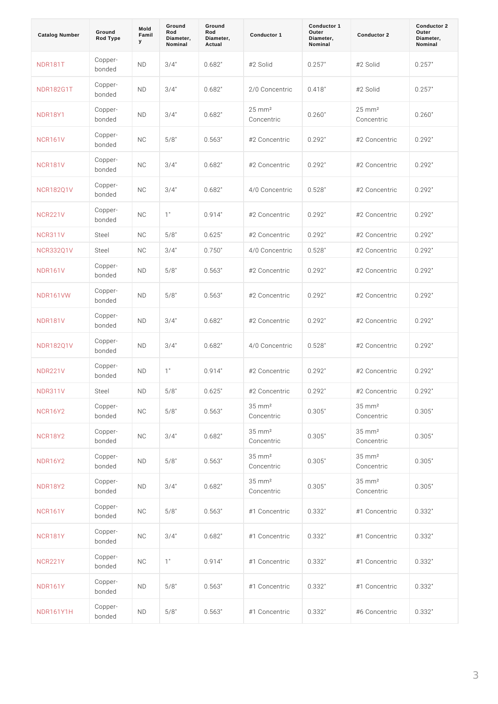| Catalog Number   | Ground<br>Rod Type   | Mold<br>Famil<br>У | Ground<br>Rod<br>Diameter,<br>Nominal | Ground<br>Rod<br>Diameter,<br>Actual | Conductor 1                         | Conductor 1<br>Outer<br>Diameter,<br>Nominal | Conductor 2                         | Conductor 2<br>Outer<br>Diameter,<br>Nominal |
|------------------|----------------------|--------------------|---------------------------------------|--------------------------------------|-------------------------------------|----------------------------------------------|-------------------------------------|----------------------------------------------|
| <b>NDR181T</b>   | Copper-<br>bonded    | N <sub>D</sub>     | $3/4$ "                               | 0.682"                               | #2 Solid                            | 0.257"                                       | #2 Solid                            | 0.257"                                       |
| NDR182G1T        | Copper-<br>bonded    | N <sub>D</sub>     | $3/4$ "                               | 0.682"                               | 2/0 ConcentrOic418"                 |                                              | #2 Solid                            | 0.257"                                       |
| <b>NDR18Y1</b>   | Copper-<br>bonded    | N <sub>D</sub>     | $3/4$ "                               | 0.682"                               | $25 \,$ m m $^2$<br>Concentric      | 0.260"                                       | $25 \,$ m m $^2$<br>Concentric      | 0.260"                                       |
| <b>NCR161V</b>   | Copper-<br>bonded    | N <sub>C</sub>     | 5/8"                                  | 0.563"                               | #2 Concentricc.292"                 |                                              | #2 Concentricc. 292"                |                                              |
| <b>NCR181V</b>   | $C$ opper-<br>bonded | N <sub>C</sub>     | $3/4$ "                               | 0.682"                               | #2 Concentricc.292"                 |                                              | #2 Concentricc. 292"                |                                              |
| <b>NCR182Q1V</b> | Copper-<br>bonded    | N <sub>C</sub>     | $3/4$ "                               | 0.682"                               | 4/0 Concent foi c5 28"              |                                              | #2 Concentricc. 292"                |                                              |
| <b>NCR221V</b>   | Copper-<br>bonded    | N <sub>C</sub>     | 1"                                    | 0.914"                               | #2 Concentricc.292"                 |                                              | $#2$ Concentricc. 292"              |                                              |
| <b>NCR311V</b>   | Steel                | N C                | 5/8"                                  | 0.625"                               | #2 Concentricc.292"                 |                                              | # 2 Concentri0c. 292 "              |                                              |
| NCR332Q1V Steel  |                      | N C                | $3/4$ "                               | 0.750"                               | 4/0 Concentr0ic528"                 |                                              | # 2 Concentri0c.292"                |                                              |
| <b>NDR161V</b>   | Copper-<br>bonded    | N D                | 5/8"                                  | 0.563"                               | #2 Concentricc.292"                 |                                              | #2 Concentricc.292"                 |                                              |
| <b>NDR161VW</b>  | Copper-<br>bonded    | N D                | 5/8"                                  | 0.563"                               | #2 Concentricc. 292"                |                                              | #2 Concentri0c.292"                 |                                              |
| <b>NDR181V</b>   | Copper-<br>bonded    | N D                | $3/4$ "                               | 0.682"                               | #2 Concentricc.292"                 |                                              | #2 Concentricc. 292"                |                                              |
| <b>NDR182Q1V</b> | Copper-<br>bonded    | N D                | $3/4$ "                               | 0.682"                               | 4/0 Concentr0ic528"                 |                                              | #2 Concentricc.292"                 |                                              |
| <b>NDR221V</b>   | Copper-<br>bonded    | N D                | 1"                                    | 0.914"                               | #2 Concentricc.292"                 |                                              | #2 Concentricc. 292"                |                                              |
| N D R 3 1 1 V    | Steel                | N D                | $5/8$ "                               | $0$ . $6$ 2 5 $^{\circ}$             | #2 Concentri0c. 292"                |                                              | #2 Concentricc. 292"                |                                              |
| <b>NCR16Y2</b>   | Copper-<br>bonded    | $\,$ N $\,$ C      | $5/8$ "                               | $0.563$ "                            | $35$ m m <sup>2</sup><br>Concentric | $0.305$ "                                    | $35$ m m <sup>2</sup><br>Concentric | 0.305"                                       |
| <b>NCR18Y2</b>   | Copper-<br>bonded    | N <sub>C</sub>     | $3/4$ "                               | 0.682"                               | $35$ m m <sup>2</sup><br>Concentric | 0.305"                                       | $35$ m m <sup>2</sup><br>Concentric | 0.305"                                       |
| <b>NDR16Y2</b>   | Copper-<br>bonded    | ND                 | $5/8$ "                               | $0.563$ "                            | $35$ m m <sup>2</sup><br>Concentric | 0.305"                                       | $35$ m m <sup>2</sup><br>Concentric | 0.305"                                       |
| <b>NDR18Y2</b>   | Copper-<br>bonded    | ND                 | $3/4$ "                               | $0.682$ "                            | $35$ m m <sup>2</sup><br>Concentric | $0.305$ "                                    | $35$ m m <sup>2</sup><br>Concentric | 0.305"                                       |
| <b>NCR161Y</b>   | Copper-<br>bonded    | N <sub>C</sub>     | 5/8"                                  | 0.563"                               | #1 Concentricc. 332"                |                                              | #1 Concentricc. 332"                |                                              |
| <b>NCR181Y</b>   | Copper-<br>bonded    | N <sub>C</sub>     | $3/4$ "                               | 0.682"                               | #1 Concentricc. 332"                |                                              | #1 Concentri0c. 332"                |                                              |
| <b>NCR221Y</b>   | Copper-<br>bonded    | N <sub>C</sub>     | $1$ "                                 | 0.914"                               | #1 Concentricc. 332"                |                                              | #1 Concentricc. 332"                |                                              |
| <b>NDR161Y</b>   | Copper-<br>bonded    | N D                | 5/8"                                  | 0.563"                               | #1 Concentricc. 332"                |                                              | #1 Concentri0c. 332"                |                                              |
| NDR161Y1H        | Copper-<br>bonded    | ND                 | $5/8$ "                               | 0.563"                               | #1 Concentricc. 332"                |                                              | #6 Concentricc. 332"                |                                              |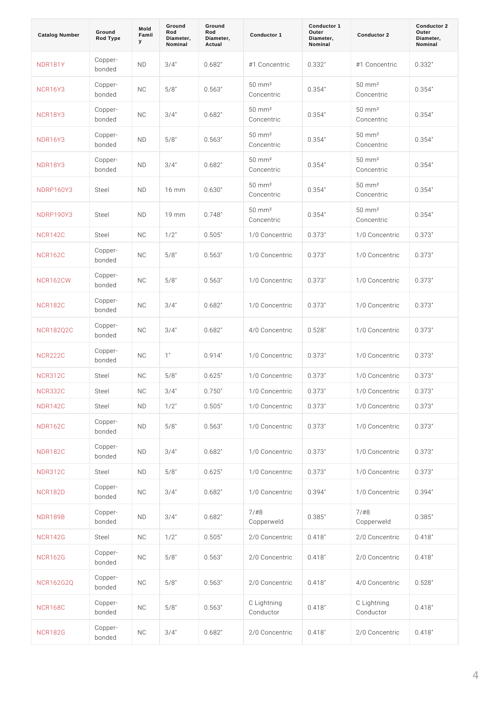| Catalog Number   | Ground<br>Rod Type    | Mold<br>Famil<br>у | Ground<br>Rod<br>Diameter,<br>Nominal | Ground<br>Rod<br>Diameter,<br>Actual | Conductor 1                       | Conductor 1<br>Outer<br>Diameter,<br>Nominal | Conductor 2                      | Conductor 2<br>Outer<br>Diameter,<br>Nominal |
|------------------|-----------------------|--------------------|---------------------------------------|--------------------------------------|-----------------------------------|----------------------------------------------|----------------------------------|----------------------------------------------|
| <b>NDR181Y</b>   | Copper-<br>bonded     | ND                 | $3/4$ "                               | 0.682"                               | #1 Concentricc. 332"              |                                              | #1 Concentriac. 332"             |                                              |
| <b>NCR16Y3</b>   | Copper-<br>bonded     | N C                | 5/8"                                  | 0.563"                               | 50 mm <sup>2</sup><br>Concentric  | 0.354"                                       | 50 mm <sup>2</sup><br>Concentric | 0.354"                                       |
| <b>NCR18Y3</b>   | $C$ opper -<br>bonded | N C                | $3/4$ "                               | 0.682"                               | 50 mm <sup>2</sup><br>Concentric  | 0.354"                                       | 50 mm <sup>2</sup><br>Concentric | 0.354"                                       |
| <b>NDR16Y3</b>   | $C$ opper -<br>bonded | ND                 | 5/8"                                  | 0.563"                               | 50 m m <sup>2</sup><br>Concentric | 0.354"                                       | 50 mm <sup>2</sup><br>Concentric | 0.354"                                       |
| <b>NDR18Y3</b>   | $C$ opper -<br>bonded | N D                | $3/4$ "                               | 0.682"                               | 50 mm <sup>2</sup><br>Concentric  | 0.354"                                       | 50 mm <sup>2</sup><br>Concentric | 0.354"                                       |
| NDRP160Y3 Steel  |                       | N D                | 16 m m                                | 0.630"                               | 50 m m <sup>2</sup><br>Concentric | 0.354"                                       | 50 mm <sup>2</sup><br>Concentric | 0.354"                                       |
| NDRP190Y3 Steel  |                       | ND                 | 19 m m                                | 0.748"                               | 50 mm <sup>2</sup><br>Concentric  | 0.354"                                       | 50 mm <sup>2</sup><br>Concentric | 0.354"                                       |
| <b>NCR142C</b>   | Steel                 | N C                | $1/2$ "                               | 0.505"                               | 1/0 ConcentrOic373"               |                                              | 1/0 Concentr0ic373"              |                                              |
| <b>NCR162C</b>   | Copper-<br>bonded     | N C                | 5/8"                                  | 0.563"                               | $1/0$ ConcentrOic $373$ "         |                                              | 1/0 Concentr0ic373"              |                                              |
| <b>NCR162CW</b>  | $C$ opper -<br>bonded | N C                | 5/8"                                  | 0.563"                               | $1/0$ Concentroic 373"            |                                              | 1/0 Concentr0ic373"              |                                              |
| <b>NCR182C</b>   | Copper-<br>bonded     | N <sub>C</sub>     | $3/4$ "                               | 0.682"                               | $1/0$ ConcentrOic $373$ "         |                                              | 1/0 Concentr0ic373"              |                                              |
| <b>NCR182Q2C</b> | Copper-<br>bonded     | N C                | $3/4$ "                               | $0.682$ "                            | 4/0 Concent foi c5 28"            |                                              | 1/0 Concentr0ic373"              |                                              |
| <b>NCR222C</b>   | $C$ opper -<br>bonded | N C                | 1"                                    | 0.914"                               | $1/0$ Concentroic 373"            |                                              | 1/0 Concentr0ic373"              |                                              |
| <b>NCR312C</b>   | Steel                 | N C                | 5/8"                                  | 0.625"                               | $1/0$ ConcentrOic $373$ "         |                                              | 1/0 Concent foi.c373"            |                                              |
| N C R 3 3 2 C    | Steel                 | N C                | $3/4$ "                               | 0.750"                               | 1/0 ConcentrOic373"               |                                              | 1/0 Concentr0ic373"              |                                              |
| <b>NDR142C</b>   | Steel                 | ND                 | $1/2$ "                               | 0.505"                               | 1/0 Concent r0i c373"             |                                              | 1/0 Concent r0i c373"            |                                              |
| <b>NDR162C</b>   | Copper-<br>bonded     | $\,$ N $\,$ D      | $5/8$ "                               | 0.563"                               | 1/0 Concent r0i c373"             |                                              | 1/0 Concent r0i c373"            |                                              |
| <b>NDR182C</b>   | Copper-<br>bonded     | N <sub>D</sub>     | $3/4$ "                               | 0.682"                               | 1/0 Concent r0ic373"              |                                              | 1/0 ConcentrOic373"              |                                              |
| <b>NDR312C</b>   | Steel                 | ND                 | $5/8$ "                               | 0.625"                               | 1/0 Concent r0i c373"             |                                              | 1/0 Concent r0i c373"            |                                              |
| NCR182D          | Copper-<br>bonded     | N <sub>C</sub>     | $3/4$ "                               | 0.682"                               | 1/0 Concent r0i c394"             |                                              | 1/0 Concent r0i c394"            |                                              |
| <b>NDR189B</b>   | Copper-<br>bonded     | ND                 | $3/4$ "                               | $0$ . 6 8 2 $^{\circ}$               | 7/#8<br>Copperweld                | $0.385$ "                                    | $7/$ # 8<br>Copperweld           | 0.385"                                       |
| <b>NCR142G</b>   | Steel                 | N C                | $1/2$ "                               | 0.505"                               | 2/0 Concent r0i c4 18"            |                                              | 2/0 ConcentrOi.c4 18"            |                                              |
| <b>NCR162G</b>   | Copper-<br>bonded     | N C                | $5/8$ "                               | 0.563"                               | 2/0 Concent r0i c4 18"            |                                              | 2/0 Concent r0i.c4 18"           |                                              |
| <b>NCR162G2Q</b> | Copper-<br>bonded     | N <sub>C</sub>     | $5/8$ "                               | 0.563"                               | 2/0 Concent r0i.c4 18"            |                                              | 4/0 Concent r0i c5 28"           |                                              |
| <b>NCR168C</b>   | Copper-<br>bonded     | N C                | $5/8$ "                               | 0.563"                               | C Lightning<br>Conductor          | 0.418"                                       | C Lightning<br>Conductor         | 0.418"                                       |
| <b>NCR182G</b>   | Copper-<br>bonded     | N <sub>C</sub>     | $3/4$ "                               | 0.682"                               | 2/0 Concent r0i c4 18"            |                                              | 2/0 Concent r0i.c4 18"           |                                              |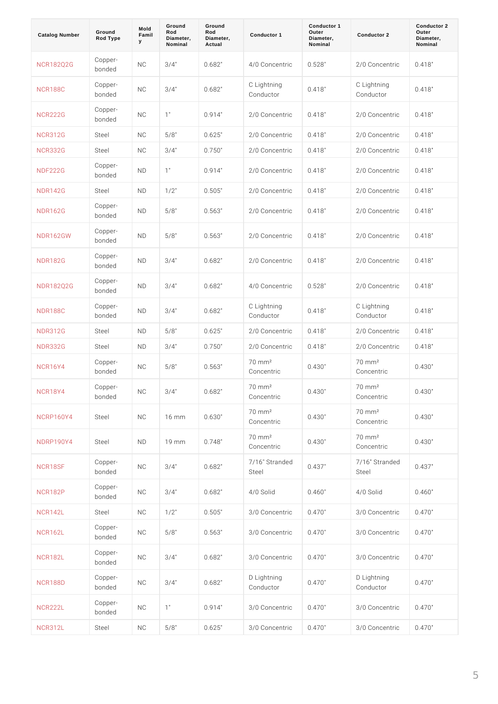| Catalog Number   | Ground<br>Rod Type    | Mold<br>Famil<br>У | Ground<br>Rod<br>Diameter,<br>Nominal | Ground<br>Rod<br>Diameter,<br>Actual | Conductor 1                       | Conductor 1<br>Outer<br>Diameter,<br>Nominal | Conductor 2<br>Outer<br>Conductor 2<br>Diameter,<br>Nominal |
|------------------|-----------------------|--------------------|---------------------------------------|--------------------------------------|-----------------------------------|----------------------------------------------|-------------------------------------------------------------|
| <b>NCR182Q2G</b> | Copper-<br>bonded     | N <sub>C</sub>     | $3/4$ "                               | 0.682"                               | 4/0 Concentr0ic528"               |                                              | $2/0$ ConcentrOic4 18"                                      |
| <b>NCR188C</b>   | Copper-<br>bonded     | N <sub>C</sub>     | $3/4$ "                               | 0.682"                               | C Lightning<br>Conductor          | 0.418"                                       | C Lightning<br>0.418"<br>Conductor                          |
| <b>NCR222G</b>   | Copper-<br>bonded     | N <sub>C</sub>     | 1"                                    | 0.914"                               | $2/0$ Concentroic 4 18"           |                                              | $2/0$ ConcentrOi.c4 18"                                     |
| <b>NCR312G</b>   | Steel                 | N C                | 5/8"                                  | 0.625"                               | $2/0$ Concentroic 4 18"           |                                              | 2/0 Concentr0ic418"                                         |
| <b>NCR332G</b>   | Steel                 | N C                | $3/4$ "                               | 0.750"                               | $2/0$ ConcentrOic $418$ "         |                                              | 2/0 Concentr0ic418"                                         |
| <b>NDF222G</b>   | Copper-<br>bonded     | N D                | 1"                                    | 0.914"                               | $2/0$ Concentroic 4 18"           |                                              | 2/0 ConcentrOi.c418"                                        |
| <b>NDR142G</b>   | Steel                 | N D                | $1/2$ "                               | 0.505"                               | $2/0$ Concentroic 4 18"           |                                              | 2/0 Concentr0ic418"                                         |
| <b>NDR162G</b>   | Copper-<br>bonded     | N <sub>D</sub>     | 5/8"                                  | 0.563"                               | $2/0$ Concentroic 4 18"           |                                              | $2/0$ Concentr0ic418"                                       |
| <b>NDR162GW</b>  | Copper-<br>bonded     | N D                | 5/8"                                  | 0.563"                               | $2/0$ Concentroic 4 18"           |                                              | $2/0$ Concentr0ic418"                                       |
| <b>NDR182G</b>   | Copper-<br>bonded     | N <sub>D</sub>     | $3/4$ "                               | 0.682"                               | $2/0$ Concentroid 4 18"           |                                              | $2/0$ Concentr0ic418"                                       |
| <b>NDR182Q2G</b> | Copper-<br>bonded     | N D                | $3/4$ "                               | 0.682"                               | 4/0 Concentr0ic528"               |                                              | $2/0$ Concentr0ic418"                                       |
| <b>NDR188C</b>   | Copper-<br>bonded     | N <sub>D</sub>     | $3/4$ "                               | 0.682"                               | C Lightning<br>Conductor          | 0.418"                                       | C Lightning<br>0.418"<br>Conductor                          |
| <b>NDR312G</b>   | Steel                 | N D                | 5/8"                                  | 0.625"                               | $2/0$ Concentroic 4 18"           |                                              | 2/0 Concentr0i.c418"                                        |
| <b>NDR332G</b>   | Steel                 | N D                | $3/4$ "                               | 0.750"                               | $2/0$ Concentroic 4 18"           |                                              | 2/0 ConcentrOi.c418"                                        |
| <b>NCR16Y4</b>   | $C$ opper -<br>bonded | N C                | 5/8"                                  | 0.563"                               | 70 mm <sup>2</sup><br>Concentric  | 0.430"                                       | 70 mm <sup>2</sup><br>0.430"<br>Concentric                  |
| <b>NCR18Y4</b>   | $C$ opper-<br>bonded  | N <sub>C</sub>     | $3/4$ "                               | $0$ . 6 8 2 $^\circ$                 | 70 mm <sup>2</sup><br>Concentric  | 0.430"                                       | 70 mm <sup>2</sup><br>0.430"<br>Concentric                  |
| NCRP160Y4 Steel  |                       | N C                | $16$ m m                              | $0.630"$                             | 70 mm <sup>2</sup><br>Concentric  | 0.430"                                       | 70 mm <sup>2</sup><br>0.430"<br>Concentric                  |
| NDRP190Y4 Steel  |                       | ND                 | 19 mm                                 | 0.748"                               | 70 mm <sup>2</sup><br>Concentric  | 0.430"                                       | 70 mm <sup>2</sup><br>0.430"<br>Concentric                  |
| NCR18SF          | Copper-<br>bonded     | N <sub>C</sub>     | $3/4$ "                               | $0.682$ "                            | 7/16" Stranded<br>0.437"<br>Steel |                                              | 7/16" Stranded<br>0.437"<br>Steel                           |
| <b>NCR182P</b>   | Copper-<br>bonded     | N <sub>C</sub>     | $3/4$ "                               | 0.682"                               | $4/0$ Solid                       | 0.460"                                       | 0.460"<br>4/0 Solid                                         |
| <b>NCR142L</b>   | Steel                 | N C                | $1/2$ "                               | $0.505$ "                            | 3/0 Concent r0i c4 70"            |                                              | 3/0 Concent r0i.c4 70"                                      |
| <b>NCR162L</b>   | Copper-<br>bonded     | N C                | $5/8$ "                               | $0.563$ "                            | 3/0 Concent r0i c4 70"            |                                              | 3/0 Concent r0i.c470"                                       |
| <b>NCR182L</b>   | Copper-<br>bonded     | N C                | $3/4$ "                               | 0.682"                               | 3/0 Concent r0i c4 70"            |                                              | 3/0 ConcentrOi.c470"                                        |
| <b>NCR188D</b>   | Copper-<br>bonded     | N C                | $3/4$ "                               | $0.682$ "                            | D Lightning<br>Conductor          | $0.470$ "                                    | D Lightning<br>$0.470$ "<br>Conductor                       |
| <b>NCR222L</b>   | Copper-<br>bonded     | N C                | 1"                                    | 0.914"                               | 3/0 Concent r0i c4 70"            |                                              | 3/0 Concent r0i.c470"                                       |
| <b>NCR312L</b>   | Steel                 | N C                | $5/8$ "                               | $0.625$ "                            | 3/0 Concent r0ic470"              |                                              | 3/0 ConcentrOi.c470"                                        |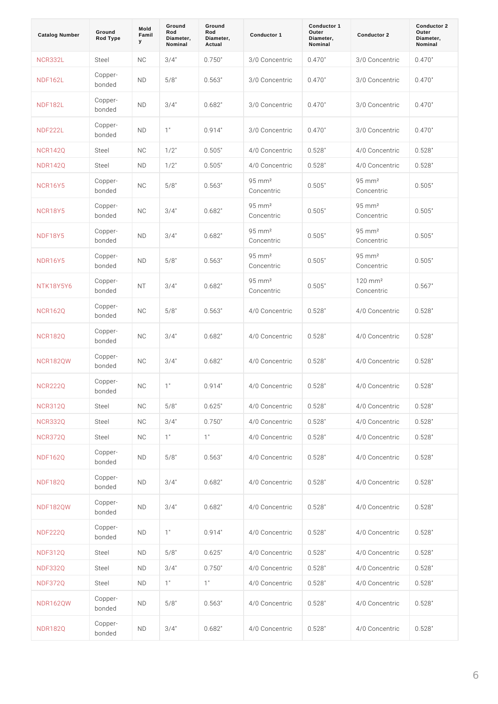| Catalog Number  | Ground<br>Rod Type      | Mold<br>Famil<br>У | Ground<br>Rod<br>Diameter,<br>Nominal | Ground<br>Rod<br>Diameter,<br>Actual | Conductor 1                      | Conductor 1<br>Outer<br>Diameter,<br>Nominal | Conductor 2                      | Conductor 2<br>Outer<br>Diameter,<br>Nominal |
|-----------------|-------------------------|--------------------|---------------------------------------|--------------------------------------|----------------------------------|----------------------------------------------|----------------------------------|----------------------------------------------|
| <b>NCR332L</b>  | Steel                   | N C                | $3/4$ "                               | 0.750"                               | 3/0 ConcentrOic470"              |                                              | 3/0 Concentr0ic470"              |                                              |
| <b>NDF162L</b>  | Copper-<br>bonded       | N D                | 5/8"                                  | 0.563"                               | 3/0 Concentr0ic470"              |                                              | 3/0 Concentr0ic470"              |                                              |
| <b>NDF182L</b>  | Copper -<br>bonded      | N D                | $3/4$ "                               | 0.682"                               | 3/0 ConcentrOic470"              |                                              | $3/0$ ConcentrOic4 70"           |                                              |
| <b>NDF222L</b>  | Copper-<br>bonded       | N D                | 1"                                    | 0.914"                               | $3/0$ Concentroic 4 7 0"         |                                              | 3/0 ConcentrOi.c470"             |                                              |
| <b>NCR142Q</b>  | Steel                   | N C                | $1/2$ "                               | 0.505"                               | $4/0$ ConcentrOic528"            |                                              | 4/0 Concentr0ic528"              |                                              |
| N D R 1 4 2 Q   | Steel                   | N D                | $1/2$ "                               | 0.505"                               | 4/0 Concent foi c5 28"           |                                              | 4/0 Concentr0ic528"              |                                              |
| <b>NCR16Y5</b>  | Copper-<br>bonded       | N <sub>C</sub>     | 5/8"                                  | 0.563"                               | $95 \,$ m m $^2$<br>Concentric   | 0.505"                                       | $95 \,$ m m $^{2}$<br>Concentric | 0.505"                                       |
| <b>NCR18Y5</b>  | Copper-<br>bonded       | N <sub>C</sub>     | $3/4$ "                               | 0.682"                               | $95 \,$ m m $^2$<br>Concentric   | 0.505"                                       | $95 \text{ mm}^2$<br>Concentric  | 0.505"                                       |
| <b>NDF18Y5</b>  | Copper-<br>bonded       | N D                | $3/4$ "                               | 0.682"                               | $95 \,$ m m $^{2}$<br>Concentric | 0.505"                                       | $95 \text{ mm}^2$<br>Concentric  | 0.505"                                       |
| <b>NDR16Y5</b>  | Copper-<br>bonded       | N D                | 5/8"                                  | 0.563"                               | $95 \,$ m m $^{2}$<br>Concentric | 0.505"                                       | $95 \text{ mm}^2$<br>Concentric  | 0.505"                                       |
| NTK18Y5Y6       | Copper -<br>bonded      | N T                | $3/4$ "                               | 0.682"                               | $95 \, m m^2$<br>Concentric      | 0.505"                                       | $120$ m m $^{2}$<br>Concentric   | 0.567"                                       |
| <b>NCR162Q</b>  | Copper -<br>bonded      | N <sub>C</sub>     | 5/8"                                  | 0.563"                               | 4/0 Concentr0ic528"              |                                              | 4/0 Concentr0ic528"              |                                              |
| <b>NCR182Q</b>  | Copper -<br>bonded      | N <sub>C</sub>     | $3/4$ "                               | 0.682"                               | 4/0 Concent foi c5 28"           |                                              | 4/0 Concentr0ic528"              |                                              |
| <b>NCR182QW</b> | Copper -<br>bonded      | N <sub>C</sub>     | $3/4$ "                               | 0.682"                               | 4/0 Concent foi c5 28"           |                                              | 4/0 Concentr0ic528"              |                                              |
| <b>NCR222Q</b>  | Copper -<br>bonded      | N C                | 1"                                    | 0.914"                               | $4/0$ Concentroic 528"           |                                              | 4/0 ConcentrOic528"              |                                              |
| <b>NCR312Q</b>  | Steel                   | N C                | 5/8"                                  | 0.625"                               | 4/0 Concent r0i c5 28"           |                                              | 4/0 Concent foi.c5 28"           |                                              |
| <b>NCR332Q</b>  | Steel                   | N C                | $3/4$ "                               | 0.750"                               | 4/0 Concent r0i c5 28"           |                                              | 4/0 Concent r0i c5 28"           |                                              |
| <b>NCR372Q</b>  | Steel                   | N C                | $1$ "                                 | 1"                                   | 4/0 Concent r0i c5 28"           |                                              | 4/0 Concent r0i c5 28"           |                                              |
| <b>NDF162Q</b>  | Copper-<br>bonded       | ND                 | $5/8$ "                               | 0.563"                               | 4/0 Concent r0i c5 28"           |                                              | 4/0 Concent r0i c5 28"           |                                              |
| <b>NDF182Q</b>  | Copper-<br>bonded       | ND                 | $3/4$ "                               | 0.682"                               | 4/0 Concent r0i c5 28"           |                                              | 4/0 Concent r0i c5 28"           |                                              |
| <b>NDF182QW</b> | Copper-<br>bonded       | ND                 | $3/4$ "                               | 0.682"                               | 4/0 Concent r0i c5 28"           |                                              | 4/0 Concent r0i c5 28"           |                                              |
| <b>NDF222Q</b>  | Copper-<br>bonded       | ND                 | $1$ "                                 | 0.914"                               | 4/0 Concent r0i c5 28"           |                                              | 4/0 Concent r0i.c5 28"           |                                              |
| NDF312Q         | Steel                   | N D                | 5/8"                                  | 0.625"                               | 4/0 Concent r0i c5 28"           |                                              | 4/0 Concent r0i c5 28"           |                                              |
| <b>NDF332Q</b>  | Steel                   | ND                 | $3/4$ "                               | 0.750"                               | 4/0 Concent r0i c5 28"           |                                              | 4/0 Concent foi c5 28"           |                                              |
| <b>NDF372Q</b>  | Steel                   | ND                 | $1$ "                                 | 1"                                   | 4/0 Concent f0ic528"             |                                              | 4/0 Concentr0ic528"              |                                              |
| <b>NDR162QW</b> | Copper-<br>bonded       | ND                 | $5/8$ "                               | $0.563$ "                            | 4/0 Concent r0i c5 28"           |                                              | 4/0 Concent r0i c5 28"           |                                              |
| <b>NDR182Q</b>  | $C$ opper $-$<br>bonded | ND                 | $3/4$ "                               | $0.682$ "                            | 4/0 Concent r0ic528"             |                                              | 4/0 Concent foi c5 28"           |                                              |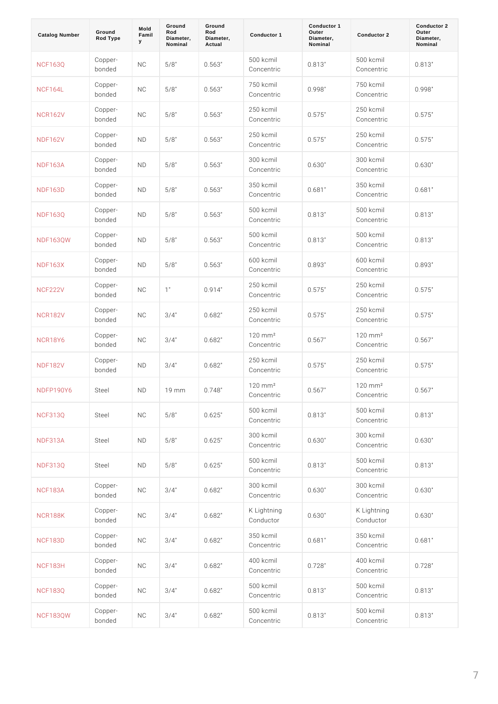| Catalog Number  | Ground<br>Rod Type | Mold<br>Famil<br>У | Ground<br>Rod<br>Diameter,<br>Nominal | Ground<br>Rod<br>Diameter,<br>Actual | Conductor 1                          | Conductor 1<br>Outer<br>Diameter,<br>Nominal | Conductor 2                         | Conductor 2<br>Outer<br>Diameter,<br>Nominal |
|-----------------|--------------------|--------------------|---------------------------------------|--------------------------------------|--------------------------------------|----------------------------------------------|-------------------------------------|----------------------------------------------|
| <b>NCF163Q</b>  | Copper-<br>bonded  | N <sub>C</sub>     | 5/8"                                  | 0.563"                               | 500 kcmil<br>Concentric              | 0.813"                                       | 500 kcmil<br>Concentric             | 0.813"                                       |
| <b>NCF164L</b>  | Copper-<br>bonded  | N <sub>C</sub>     | 5/8"                                  | 0.563"                               | 750 kcmil<br>Concentric              | 0.998"                                       | 750 kcmil<br>Concentric             | 0.998"                                       |
| <b>NCR162V</b>  | Copper-<br>bonded  | N <sub>C</sub>     | 5/8"                                  | 0.563"                               | 250 kcmil<br>Concentric              | $0.575$ "                                    | 250 kcmil<br>Concentric             | $0.575$ "                                    |
| <b>NDF162V</b>  | Copper-<br>bonded  | N <sub>D</sub>     | 5/8"                                  | 0.563"                               | 250 kcmil<br>Concentric              | $0.575$ "                                    | 250 kcmil<br>Concentric             | $0.575$ "                                    |
| <b>NDF163A</b>  | Copper-<br>bonded  | N <sub>D</sub>     | 5/8"                                  | 0.563"                               | 300 kcmil<br>Concentric              | 0.630"                                       | 300 kcmil<br>Concentric             | 0.630"                                       |
| <b>NDF163D</b>  | Copper-<br>bonded  | N <sub>D</sub>     | 5/8"                                  | 0.563"                               | 350 kcmil<br>Concentric              | 0.681"                                       | 350 kcmil<br>Concentric             | 0.681"                                       |
| <b>NDF163Q</b>  | Copper-<br>bonded  | ND                 | 5/8"                                  | 0.563"                               | 500 kcmil<br>Concentric              | 0.813"                                       | 500 kcmil<br>Concentric             | 0.813"                                       |
| <b>NDF163QW</b> | Copper-<br>bonded  | ND                 | 5/8"                                  | 0.563"                               | 500 kcmil<br>Concentric              | 0.813"                                       | 500 kcmil<br>Concentric             | 0.813"                                       |
| NDF163X         | Copper-<br>bonded  | ND                 | 5/8"                                  | 0.563"                               | 600 kcmil<br>Concentric              | 0.893"                                       | 600 kcmil<br>Concentric             | 0.893"                                       |
| <b>NCF222V</b>  | Copper-<br>bonded  | N <sub>C</sub>     | 1"                                    | 0.914"                               | 250 kcmil<br>Concentric              | $0.575$ "                                    | 250 kcmil<br>Concentric             | $0.575$ "                                    |
| <b>NCR182V</b>  | Copper-<br>bonded  | N <sub>C</sub>     | $3/4$ "                               | 0.682"                               | 250 kcmil<br>Concentric              | $0.575$ "                                    | 250 kcmil<br>Concentric             | $0.575$ "                                    |
| NCR18Y6         | Copper-<br>bonded  | N <sub>C</sub>     | $3/4$ "                               | 0.682"                               | $120$ m m <sup>2</sup><br>Concentric | 0.567"                                       | $120$ mm <sup>2</sup><br>Concentric | 0.567"                                       |
| <b>NDF182V</b>  | Copper-<br>bonded  | N D                | $3/4$ "                               | 0.682"                               | 250 kcmil<br>Concentric              | $0.575$ "                                    | 250 kcmil<br>Concentric             | $0.575$ "                                    |
| NDFP190Y6 Steel |                    | ND                 | 19<br>m m                             | $0$ . 748 "                          | $120$ m m <sup>2</sup><br>Concentric | 0.567"                                       | $120$ mm <sup>2</sup><br>Concentric | 0.567"                                       |
| <b>NCF313Q</b>  | Steel              | N C                | $5/8$ "                               | $0.625$ "                            | 500 kcmil<br>Concentric              | 0.813"                                       | 500 kcmil<br>Concentric             | 0.813"                                       |
| <b>NDF313A</b>  | Steel              | ND                 | $5/8$ "                               | 0.625"                               | 300 kcmil<br>Concentric              | $0.630$ "                                    | 300 kcmil<br>Concentric             | 0.630"                                       |
| NDF313Q         | Steel              | ND                 | $5/8$ "                               | 0.625"                               | 500 kcmil<br>Concentric              | 0.813"                                       | 500 kcmil<br>Concentric             | 0.813"                                       |
| <b>NCF183A</b>  | Copper-<br>bonded  | N <sub>C</sub>     | $3/4$ "                               | 0.682"                               | 300 kcmil<br>Concentric              | $0.630$ "                                    | 300 kcmil<br>Concentric             | 0.630"                                       |
| <b>NCR188K</b>  | Copper-<br>bonded  | N <sub>C</sub>     | $3/4$ "                               | $0.682$ "                            | K Lightning<br>Conductor             | $0.630$ "                                    | K Lightning<br>Conductor            | 0.630"                                       |
| <b>NCF183D</b>  | Copper-<br>bonded  | N <sub>C</sub>     | $3/4$ "                               | 0.682"                               | 350 kcmil<br>Concentric              | 0.681"                                       | 350 kcmil<br>Concentric             | 0.681"                                       |
| <b>NCF183H</b>  | Copper-<br>bonded  | N <sub>C</sub>     | $3/4$ "                               | $0.682$ "                            | 400 kcmil<br>Concentric              | $0.728$ "                                    | 400 kcmil<br>Concentric             | $0.728$ "                                    |
| <b>NCF183Q</b>  | Copper-<br>bonded  | N <sub>C</sub>     | $3/4$ "                               | 0.682"                               | 500 kcmil<br>Concentric              | $0.813$ "                                    | 500 kcmil<br>Concentric             | 0.813"                                       |
| <b>NCF183QW</b> | Copper-<br>bonded  | N <sub>C</sub>     | $3/4$ "                               | $0.682$ "                            | 500 kcmil<br>Concentric              | $0.813$ "                                    | 500 kcmil<br>Concentric             | $0.813$ "                                    |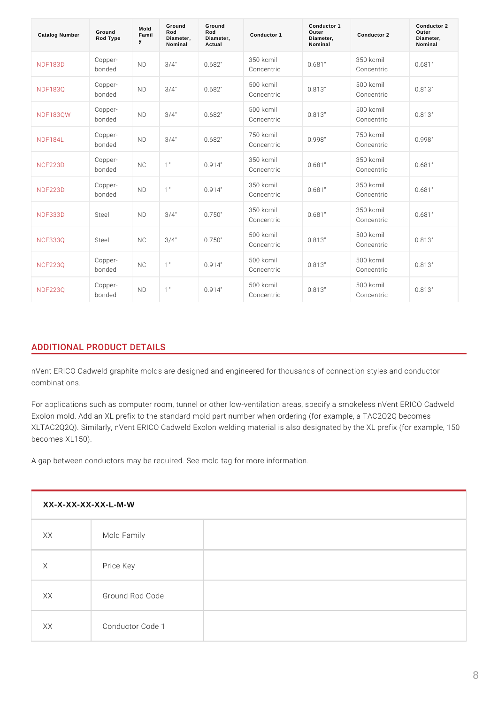| Catalog Number  | Ground<br>Rod Type   | Mold<br>Famil<br>У | Ground<br>Rod<br>Diameter,<br>Nominal | Ground<br>Rod<br>Diameter,<br>Actual | Conductor 1               | Conductor 1<br>Outer<br>Diameter,<br>Nominal | Conductor 2               | Conductor 2<br>Outer<br>Diameter,<br>Nominal |
|-----------------|----------------------|--------------------|---------------------------------------|--------------------------------------|---------------------------|----------------------------------------------|---------------------------|----------------------------------------------|
| <b>NDF183D</b>  | Copper-<br>bonded    | N <sub>D</sub>     | $3/4$ "                               | 0.682"                               | 350 kcmil<br>Concentric   | 0.681"                                       | 350 kcmil<br>Concentric   | 0.681"                                       |
| <b>NDF183Q</b>  | Copper-<br>bonded    | N <sub>D</sub>     | $3/4$ "                               | 0.682"                               | 500 kcmil<br>Concentric   | 0.813"                                       | 500 kcmil<br>Concentric   | 0.813"                                       |
| <b>NDF183QW</b> | Copper-<br>bonded    | N <sub>D</sub>     | $3/4$ "                               | 0.682"                               | 500 kcmil<br>Concentric   | 0.813"                                       | 500 kcmil<br>Concentric   | 0.813"                                       |
| <b>NDF184L</b>  | Copper-<br>bonded    | N <sub>D</sub>     | $3/4$ "                               | 0.682"                               | 750 kcmil<br>Concentric   | 0.998"                                       | 750 kcmil<br>Concentric   | 0.998"                                       |
| <b>NCF223D</b>  | Copper-<br>bonded    | N <sub>C</sub>     | 1"                                    | 0.914"                               | $350$ kcmil<br>Concentric | 0.681"                                       | 350 kcmil<br>Concentric   | 0.681"                                       |
| <b>NDF223D</b>  | Copper-<br>bonded    | N <sub>D</sub>     | 1"                                    | 0.914"                               | 350 kcmil<br>Concentric   | 0.681"                                       | 350 kcmil<br>Concentric   | 0.681"                                       |
| <b>NDF333D</b>  | SteeI                | N <sub>D</sub>     | $3/4$ "                               | 0.750"                               | $350$ kcmil<br>Concentric | 0.681"                                       | $350$ kcmil<br>Concentric | 0.681"                                       |
| <b>NCF333Q</b>  | Steel                | N <sub>C</sub>     | $3/4$ "                               | 0.750"                               | 500 kcmil<br>Concentric   | 0.813"                                       | 500 kcmil<br>Concentric   | 0.813"                                       |
| <b>NCF223Q</b>  | Copper-<br>bonded    | N <sub>C</sub>     | 1"                                    | 0.914"                               | 500 kcmil<br>Concentric   | 0.813"                                       | 500 kcmil<br>Concentric   | 0.813"                                       |
| <b>NDF223Q</b>  | $C$ opper-<br>bonded | N <sub>D</sub>     | 1"                                    | 0.914"                               | 500 kcmil<br>Concentric   | 0.813"                                       | 500 kcmil<br>Concentric   | 0.813"                                       |

# ADDITIONAL PRODUCT DETAILS

nVent ERICO Cadweld graphite molds are designed and engineered for thousands combinations.

For applications such as computer room, tunnel or other low-ventilation areas, s Exolon mold. Add an XL prefix to the standard mold part number when ordering ( XLTAC2Q2Q). Similarly, nVent ERICO Cadweld Exolon welding material is also de becomes XL150).

A gap between conductors may be required. See mold tag for more information.

| XX-X-XX-XX-XX-L-M-W |                  |  |  |  |  |  |
|---------------------|------------------|--|--|--|--|--|
| X X                 | Mold Family      |  |  |  |  |  |
| X                   | Price Key        |  |  |  |  |  |
| X X                 | Ground Rod Code  |  |  |  |  |  |
| X X                 | Conductor Code 1 |  |  |  |  |  |